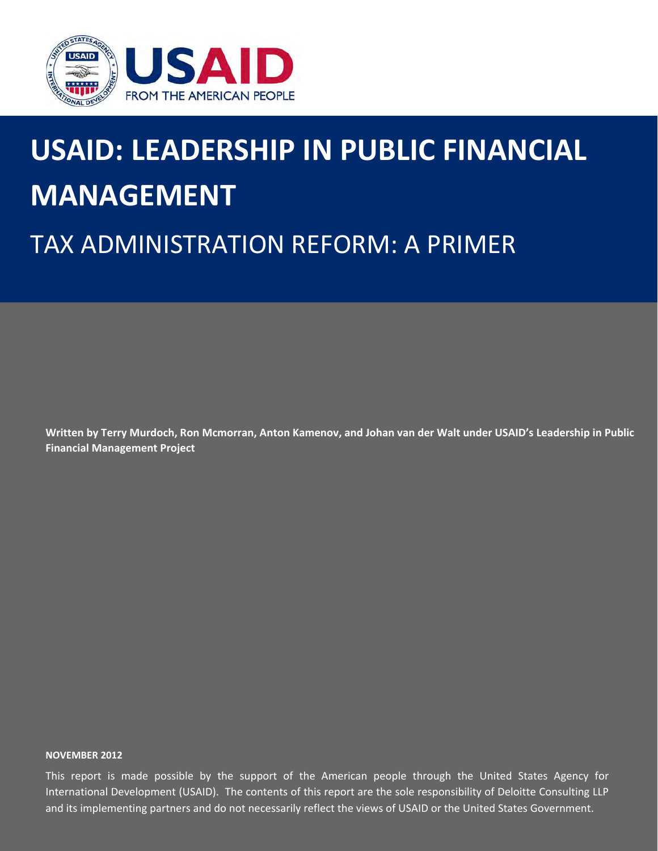

# **USAID: LEADERSHIP IN PUBLIC FINANCIAL MANAGEMENT**

## TAX ADMINISTRATION REFORM: A PRIMER

Written by Terry Murdoch, Ron Mcmorran, Anton Kamenov, and Johan van der Walt under USAID's Leadership in Public **Financial Management Project**

#### **NOVEMBER 2012**

International Development (USAID). The contents of this report are the sole responsibility of Deloitte Consulting LLP and its implementing partners and do not necessarily reflect the views of USAID or the United States Government. This report is made possible by the support of the American people through the United States Agency for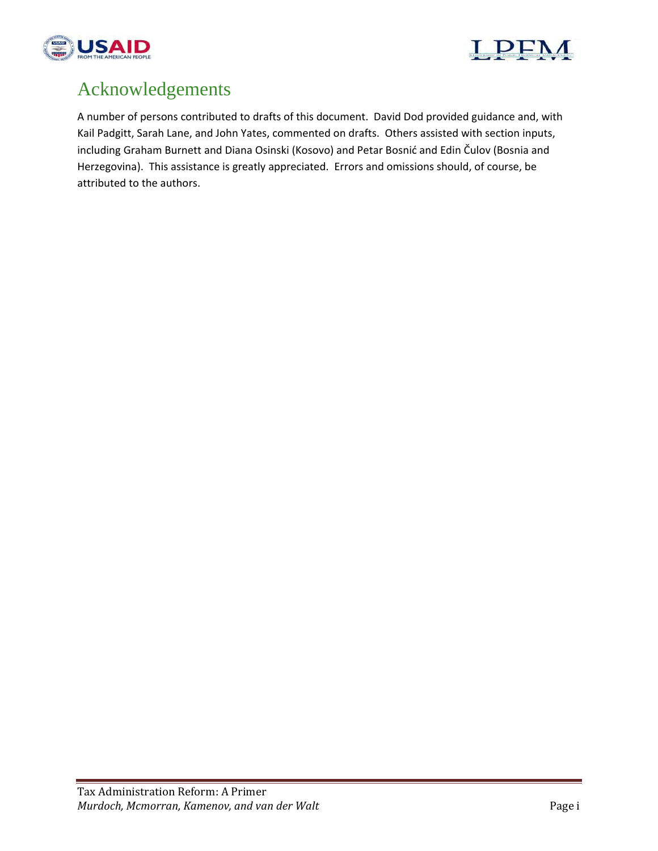



## Acknowledgements

A number of persons contributed to drafts of this document. David Dod provided guidance and, with Kail Padgitt, Sarah Lane, and John Yates, commented on drafts. Others assisted with section inputs, including Graham Burnett and Diana Osinski (Kosovo) and Petar Bosnić and Edin Čulov (Bosnia and Herzegovina). This assistance is greatly appreciated. Errors and omissions should, of course, be attributed to the authors.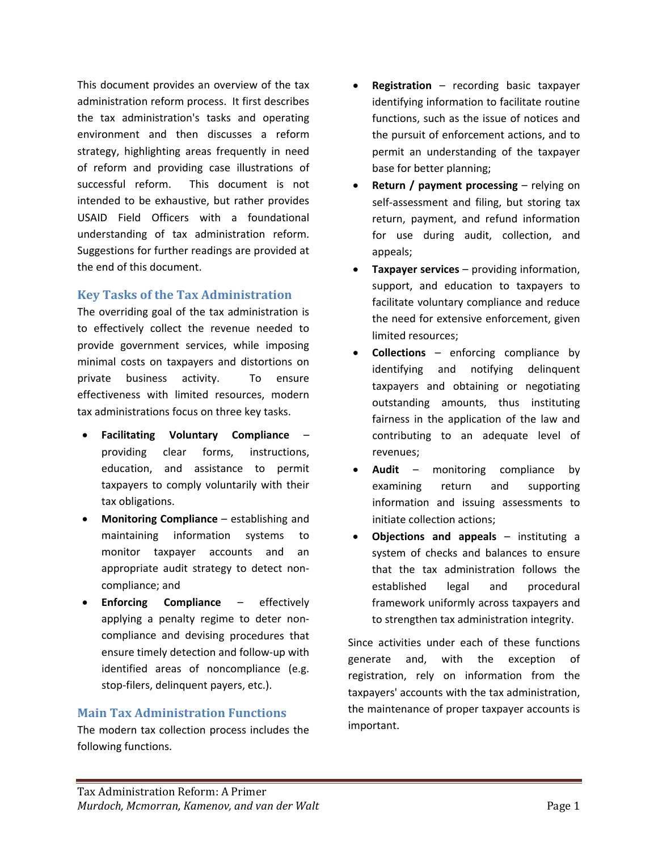This document provides an overview of the tax administration reform process. It first describes the tax administration's tasks and operating environment and then discusses a reform strategy, highlighting areas frequently in need of reform and providing case illustrations of successful reform. This document is not intended to be exhaustive, but rather provides USAID Field Officers with a foundational understanding of tax administration reform. Suggestions for further readings are provided at the end of this document.

#### **Key Tasks of the Tax Administration**

The overriding goal of the tax administration is to effectively collect the revenue needed to provide government services, while imposing minimal costs on taxpayers and distortions on private business activity. To ensure effectiveness with limited resources, modern tax administrations focus on three key tasks.

- **Facilitating Voluntary Compliance** providing clear forms, instructions, education, and assistance to permit taxpayers to comply voluntarily with their tax obligations.
- **Monitoring Compliance** establishing and maintaining information systems to monitor taxpayer accounts and an appropriate audit strategy to detect non‐ compliance; and
- **Enforcing Compliance** effectively applying a penalty regime to deter non‐ compliance and devising procedures that ensure timely detection and follow‐up with identified areas of noncompliance (e.g. stop-filers, delinquent payers, etc.).

#### **Main Tax Administration Functions**

The modern tax collection process includes the following functions.

- **Registration** recording basic taxpayer identifying information to facilitate routine functions, such as the issue of notices and the pursuit of enforcement actions, and to permit an understanding of the taxpayer base for better planning;
- **Return / payment processing** relying on self-assessment and filing, but storing tax return, payment, and refund information for use during audit, collection, and appeals;
- **Taxpayer services** providing information, support, and education to taxpayers to facilitate voluntary compliance and reduce the need for extensive enforcement, given limited resources;
- **Collections** enforcing compliance by identifying and notifying delinquent taxpayers and obtaining or negotiating outstanding amounts, thus instituting fairness in the application of the law and contributing to an adequate level of revenues;
- **Audit** monitoring compliance by examining return and supporting information and issuing assessments to initiate collection actions;
- **Objections and appeals** instituting a system of checks and balances to ensure that the tax administration follows the established legal and procedural framework uniformly across taxpayers and to strengthen tax administration integrity.

Since activities under each of these functions generate and, with the exception of registration, rely on information from the taxpayers' accounts with the tax administration, the maintenance of proper taxpayer accounts is important.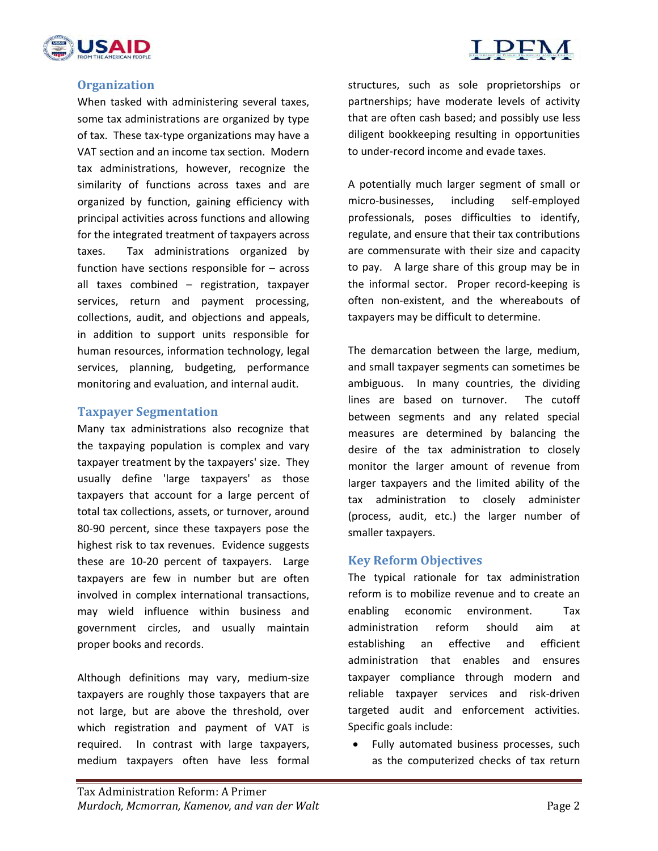



#### **Organization**

When tasked with administering several taxes, some tax administrations are organized by type of tax. These tax‐type organizations may have a VAT section and an income tax section. Modern tax administrations, however, recognize the similarity of functions across taxes and are organized by function, gaining efficiency with principal activities across functions and allowing for the integrated treatment of taxpayers across taxes. Tax administrations organized by function have sections responsible for – across all taxes combined – registration, taxpayer services, return and payment processing, collections, audit, and objections and appeals, in addition to support units responsible for human resources, information technology, legal services, planning, budgeting, performance monitoring and evaluation, and internal audit.

#### **Taxpayer Segmentation**

Many tax administrations also recognize that the taxpaying population is complex and vary taxpayer treatment by the taxpayers' size. They usually define 'large taxpayers' as those taxpayers that account for a large percent of total tax collections, assets, or turnover, around 80‐90 percent, since these taxpayers pose the highest risk to tax revenues. Evidence suggests these are 10‐20 percent of taxpayers. Large taxpayers are few in number but are often involved in complex international transactions, may wield influence within business and government circles, and usually maintain proper books and records.

Although definitions may vary, medium‐size taxpayers are roughly those taxpayers that are not large, but are above the threshold, over which registration and payment of VAT is required. In contrast with large taxpayers, medium taxpayers often have less formal

structures, such as sole proprietorships or partnerships; have moderate levels of activity that are often cash based; and possibly use less diligent bookkeeping resulting in opportunities to under‐record income and evade taxes.

A potentially much larger segment of small or micro‐businesses, including self‐employed professionals, poses difficulties to identify, regulate, and ensure that their tax contributions are commensurate with their size and capacity to pay. A large share of this group may be in the informal sector. Proper record-keeping is often non‐existent, and the whereabouts of taxpayers may be difficult to determine.

The demarcation between the large, medium, and small taxpayer segments can sometimes be ambiguous. In many countries, the dividing lines are based on turnover. The cutoff between segments and any related special measures are determined by balancing the desire of the tax administration to closely monitor the larger amount of revenue from larger taxpayers and the limited ability of the tax administration to closely administer (process, audit, etc.) the larger number of smaller taxpayers.

#### **Key Reform Objectives**

The typical rationale for tax administration reform is to mobilize revenue and to create an enabling economic environment. Tax administration reform should aim at establishing an effective and efficient administration that enables and ensures taxpayer compliance through modern and reliable taxpayer services and risk‐driven targeted audit and enforcement activities. Specific goals include:

• Fully automated business processes, such as the computerized checks of tax return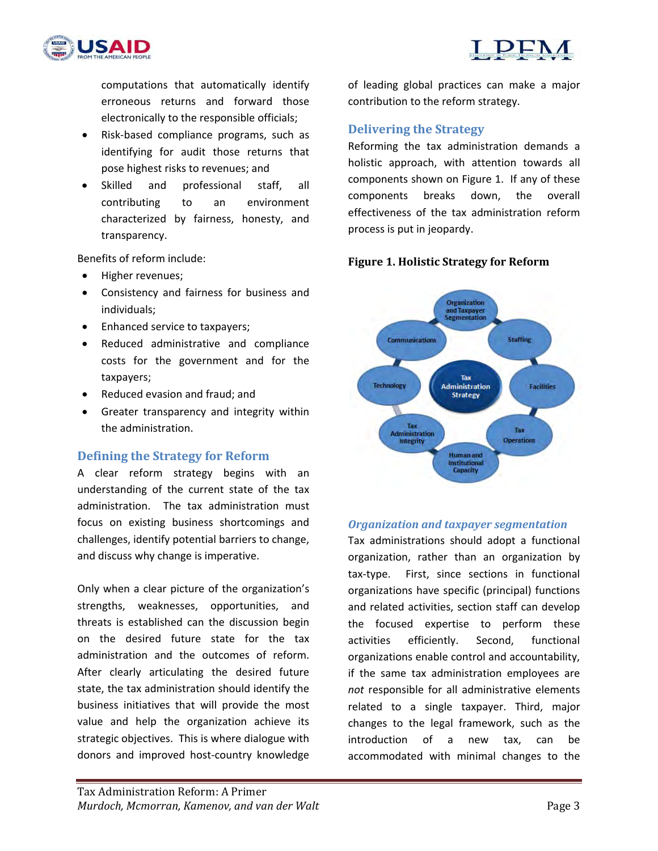

computations that automatically identify erroneous returns and forward those electronically to the responsible officials;

- Risk‐based compliance programs, such as identifying for audit those returns that pose highest risks to revenues; and
- Skilled and professional staff, all contributing to an environment characterized by fairness, honesty, and transparency.

Benefits of reform include:

- Higher revenues;
- Consistency and fairness for business and individuals;
- Enhanced service to taxpayers;
- Reduced administrative and compliance costs for the government and for the taxpayers;
- Reduced evasion and fraud; and
- Greater transparency and integrity within the administration.

#### **Defining the Strategy for Reform**

A clear reform strategy begins with an understanding of the current state of the tax administration. The tax administration must focus on existing business shortcomings and challenges, identify potential barriers to change, and discuss why change is imperative.

Only when a clear picture of the organization's strengths, weaknesses, opportunities, and threats is established can the discussion begin on the desired future state for the tax administration and the outcomes of reform. After clearly articulating the desired future state, the tax administration should identify the business initiatives that will provide the most value and help the organization achieve its strategic objectives. This is where dialogue with donors and improved host‐country knowledge of leading global practices can make a major contribution to the reform strategy.

### **Delivering the Strategy**

Reforming the tax administration demands a holistic approach, with attention towards all components shown on Figure 1. If any of these components breaks down, the overall effectiveness of the tax administration reform process is put in jeopardy.

#### **Figure 1. Holistic Strategy for Reform**



#### *Organization and taxpayer segmentation*

Tax administrations should adopt a functional organization, rather than an organization by tax‐type. First, since sections in functional organizations have specific (principal) functions and related activities, section staff can develop the focused expertise to perform these activities efficiently. Second, functional organizations enable control and accountability, if the same tax administration employees are *not* responsible for all administrative elements related to a single taxpayer. Third, major changes to the legal framework, such as the introduction of a new tax, can be accommodated with minimal changes to the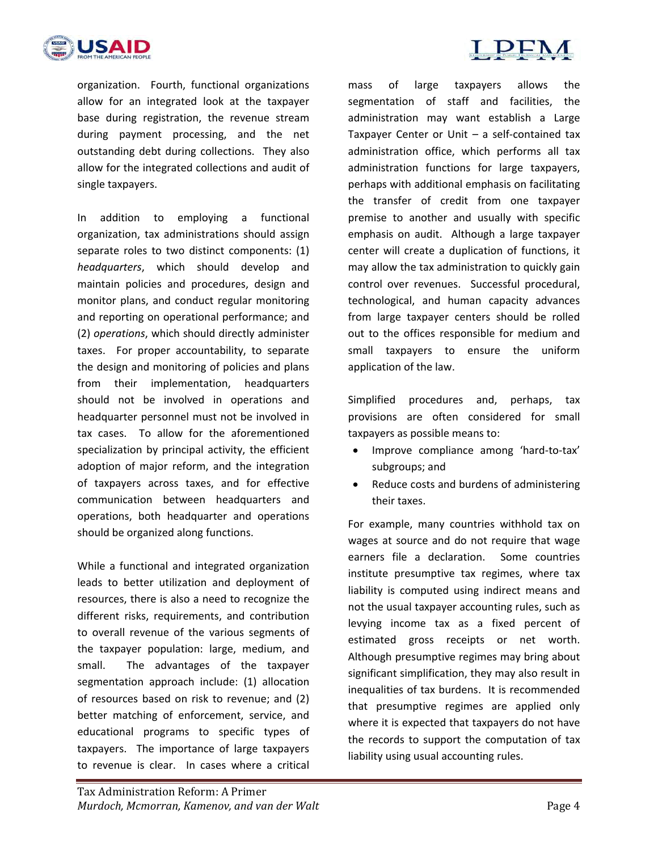

organization. Fourth, functional organizations allow for an integrated look at the taxpayer base during registration, the revenue stream during payment processing, and the net outstanding debt during collections. They also allow for the integrated collections and audit of single taxpayers.

In addition to employing a functional organization, tax administrations should assign separate roles to two distinct components: (1) *headquarters*, which should develop and maintain policies and procedures, design and monitor plans, and conduct regular monitoring and reporting on operational performance; and (2) *operations*, which should directly administer taxes. For proper accountability, to separate the design and monitoring of policies and plans from their implementation, headquarters should not be involved in operations and headquarter personnel must not be involved in tax cases. To allow for the aforementioned specialization by principal activity, the efficient adoption of major reform, and the integration of taxpayers across taxes, and for effective communication between headquarters and operations, both headquarter and operations should be organized along functions.

While a functional and integrated organization leads to better utilization and deployment of resources, there is also a need to recognize the different risks, requirements, and contribution to overall revenue of the various segments of the taxpayer population: large, medium, and small. The advantages of the taxpayer segmentation approach include: (1) allocation of resources based on risk to revenue; and (2) better matching of enforcement, service, and educational programs to specific types of taxpayers. The importance of large taxpayers to revenue is clear. In cases where a critical

mass of large taxpayers allows the segmentation of staff and facilities, the administration may want establish a Large Taxpayer Center or Unit  $-$  a self-contained tax administration office, which performs all tax administration functions for large taxpayers, perhaps with additional emphasis on facilitating the transfer of credit from one taxpayer premise to another and usually with specific emphasis on audit. Although a large taxpayer center will create a duplication of functions, it may allow the tax administration to quickly gain control over revenues. Successful procedural, technological, and human capacity advances from large taxpayer centers should be rolled out to the offices responsible for medium and small taxpayers to ensure the uniform application of the law.

Simplified procedures and, perhaps, tax provisions are often considered for small taxpayers as possible means to:

- Improve compliance among 'hard-to-tax' subgroups; and
- Reduce costs and burdens of administering their taxes.

For example, many countries withhold tax on wages at source and do not require that wage earners file a declaration. Some countries institute presumptive tax regimes, where tax liability is computed using indirect means and not the usual taxpayer accounting rules, such as levying income tax as a fixed percent of estimated gross receipts or net worth. Although presumptive regimes may bring about significant simplification, they may also result in inequalities of tax burdens. It is recommended that presumptive regimes are applied only where it is expected that taxpayers do not have the records to support the computation of tax liability using usual accounting rules.

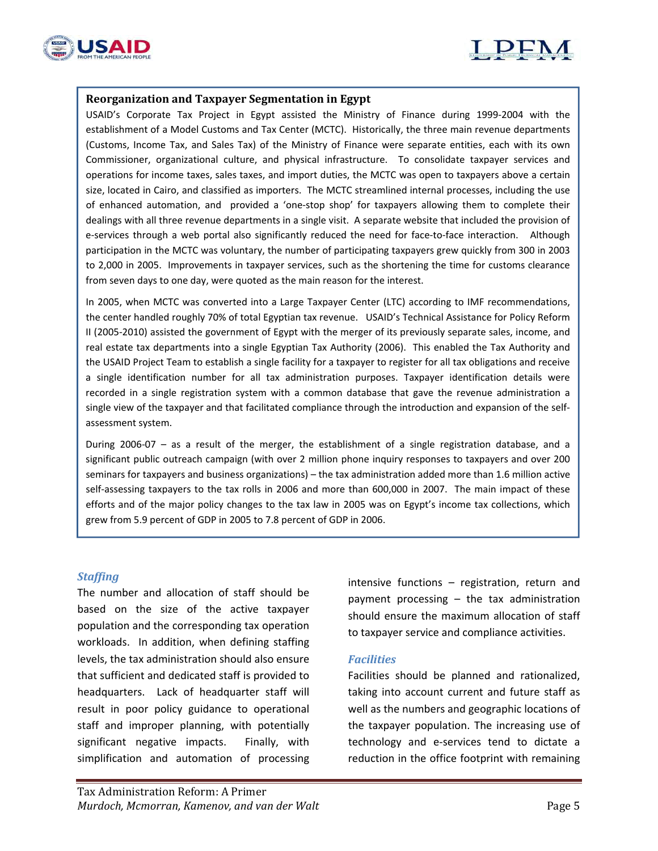



#### **Reorganization and Taxpayer Segmentation in Egypt**

USAID's Corporate Tax Project in Egypt assisted the Ministry of Finance during 1999‐2004 with the establishment of a Model Customs and Tax Center (MCTC). Historically, the three main revenue departments (Customs, Income Tax, and Sales Tax) of the Ministry of Finance were separate entities, each with its own Commissioner, organizational culture, and physical infrastructure. To consolidate taxpayer services and operations for income taxes, sales taxes, and import duties, the MCTC was open to taxpayers above a certain size, located in Cairo, and classified as importers. The MCTC streamlined internal processes, including the use of enhanced automation, and provided a 'one‐stop shop' for taxpayers allowing them to complete their dealings with all three revenue departments in a single visit. A separate website that included the provision of e-services through a web portal also significantly reduced the need for face-to-face interaction. Although participation in the MCTC was voluntary, the number of participating taxpayers grew quickly from 300 in 2003 to 2,000 in 2005. Improvements in taxpayer services, such as the shortening the time for customs clearance from seven days to one day, were quoted as the main reason for the interest.

In 2005, when MCTC was converted into a Large Taxpayer Center (LTC) according to IMF recommendations, the center handled roughly 70% of total Egyptian tax revenue. USAID's Technical Assistance for Policy Reform II (2005‐2010) assisted the government of Egypt with the merger of its previously separate sales, income, and real estate tax departments into a single Egyptian Tax Authority (2006). This enabled the Tax Authority and the USAID Project Team to establish a single facility for a taxpayer to register for all tax obligations and receive a single identification number for all tax administration purposes. Taxpayer identification details were recorded in a single registration system with a common database that gave the revenue administration a single view of the taxpayer and that facilitated compliance through the introduction and expansion of the selfassessment system.

During 2006‐07 – as a result of the merger, the establishment of a single registration database, and a significant public outreach campaign (with over 2 million phone inquiry responses to taxpayers and over 200 seminars for taxpayers and business organizations) – the tax administration added more than 1.6 million active self-assessing taxpayers to the tax rolls in 2006 and more than 600,000 in 2007. The main impact of these efforts and of the major policy changes to the tax law in 2005 was on Egypt's income tax collections, which grew from 5.9 percent of GDP in 2005 to 7.8 percent of GDP in 2006.

#### *Staffing*

The number and allocation of staff should be based on the size of the active taxpayer population and the corresponding tax operation workloads. In addition, when defining staffing levels, the tax administration should also ensure that sufficient and dedicated staff is provided to headquarters. Lack of headquarter staff will result in poor policy guidance to operational staff and improper planning, with potentially significant negative impacts. Finally, with simplification and automation of processing

intensive functions – registration, return and payment processing – the tax administration should ensure the maximum allocation of staff to taxpayer service and compliance activities.

#### *Facilities*

Facilities should be planned and rationalized, taking into account current and future staff as well as the numbers and geographic locations of the taxpayer population. The increasing use of technology and e‐services tend to dictate a reduction in the office footprint with remaining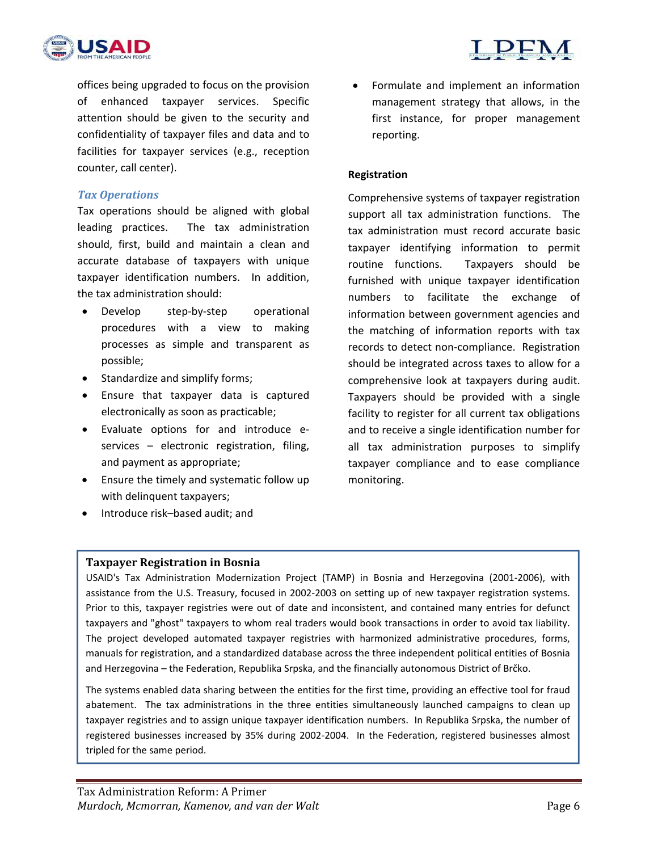



offices being upgraded to focus on the provision of enhanced taxpayer services. Specific attention should be given to the security and confidentiality of taxpayer files and data and to facilities for taxpayer services (e.g., reception counter, call center).

#### *Tax Operations*

Tax operations should be aligned with global leading practices. The tax administration should, first, build and maintain a clean and accurate database of taxpayers with unique taxpayer identification numbers. In addition, the tax administration should:

- Develop step-by-step operational procedures with a view to making processes as simple and transparent as possible;
- Standardize and simplify forms;
- Ensure that taxpayer data is captured electronically as soon as practicable;
- Evaluate options for and introduce e‐ services – electronic registration, filing, and payment as appropriate;
- Ensure the timely and systematic follow up with delinquent taxpayers;
- Introduce risk-based audit; and

 Formulate and implement an information management strategy that allows, in the first instance, for proper management reporting.

#### **Registration**

Comprehensive systems of taxpayer registration support all tax administration functions. The tax administration must record accurate basic taxpayer identifying information to permit routine functions. Taxpayers should be furnished with unique taxpayer identification numbers to facilitate the exchange of information between government agencies and the matching of information reports with tax records to detect non‐compliance. Registration should be integrated across taxes to allow for a comprehensive look at taxpayers during audit. Taxpayers should be provided with a single facility to register for all current tax obligations and to receive a single identification number for all tax administration purposes to simplify taxpayer compliance and to ease compliance monitoring.

#### **Taxpayer Registration in Bosnia**

USAID's Tax Administration Modernization Project (TAMP) in Bosnia and Herzegovina (2001‐2006), with assistance from the U.S. Treasury, focused in 2002‐2003 on setting up of new taxpayer registration systems. Prior to this, taxpayer registries were out of date and inconsistent, and contained many entries for defunct taxpayers and "ghost" taxpayers to whom real traders would book transactions in order to avoid tax liability. The project developed automated taxpayer registries with harmonized administrative procedures, forms, manuals for registration, and a standardized database across the three independent political entities of Bosnia and Herzegovina – the Federation, Republika Srpska, and the financially autonomous District of Brčko.

The systems enabled data sharing between the entities for the first time, providing an effective tool for fraud abatement. The tax administrations in the three entities simultaneously launched campaigns to clean up taxpayer registries and to assign unique taxpayer identification numbers. In Republika Srpska, the number of registered businesses increased by 35% during 2002-2004. In the Federation, registered businesses almost tripled for the same period.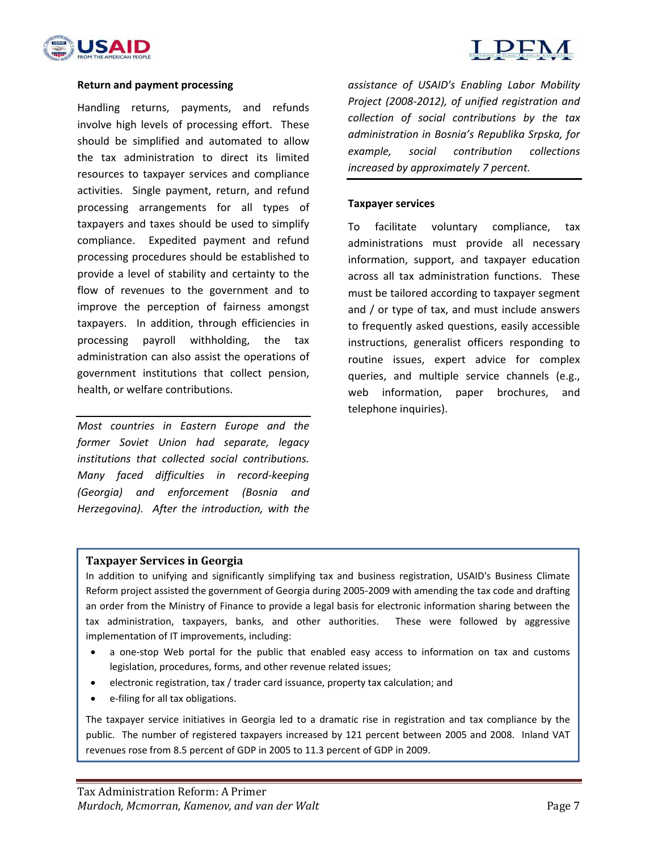



#### **Return and payment processing**

Handling returns, payments, and refunds involve high levels of processing effort. These should be simplified and automated to allow the tax administration to direct its limited resources to taxpayer services and compliance activities. Single payment, return, and refund processing arrangements for all types of taxpayers and taxes should be used to simplify compliance. Expedited payment and refund processing procedures should be established to provide a level of stability and certainty to the flow of revenues to the government and to improve the perception of fairness amongst taxpayers. In addition, through efficiencies in processing payroll withholding, the tax administration can also assist the operations of government institutions that collect pension, health, or welfare contributions.

*Most countries in Eastern Europe and the former Soviet Union had separate, legacy institutions that collected social contributions. Many faced difficulties in record‐keeping (Georgia) and enforcement (Bosnia and Herzegovina). After the introduction, with the* 

*assistance of USAID's Enabling Labor Mobility Project (2008‐2012), of unified registration and collection of social contributions by the tax administration in Bosnia's Republika Srpska, for example, social contribution collections increased by approximately 7 percent.*

#### **Taxpayer services**

To facilitate voluntary compliance, tax administrations must provide all necessary information, support, and taxpayer education across all tax administration functions. These must be tailored according to taxpayer segment and / or type of tax, and must include answers to frequently asked questions, easily accessible instructions, generalist officers responding to routine issues, expert advice for complex queries, and multiple service channels (e.g., web information, paper brochures, and telephone inquiries).

#### **Taxpayer Services in Georgia**

In addition to unifying and significantly simplifying tax and business registration, USAID's Business Climate Reform project assisted the government of Georgia during 2005‐2009 with amending the tax code and drafting an order from the Ministry of Finance to provide a legal basis for electronic information sharing between the tax administration, taxpayers, banks, and other authorities. These were followed by aggressive implementation of IT improvements, including:

- a one‐stop Web portal for the public that enabled easy access to information on tax and customs legislation, procedures, forms, and other revenue related issues;
- electronic registration, tax / trader card issuance, property tax calculation; and
- e-filing for all tax obligations.

The taxpayer service initiatives in Georgia led to a dramatic rise in registration and tax compliance by the public. The number of registered taxpayers increased by 121 percent between 2005 and 2008. Inland VAT revenues rose from 8.5 percent of GDP in 2005 to 11.3 percent of GDP in 2009.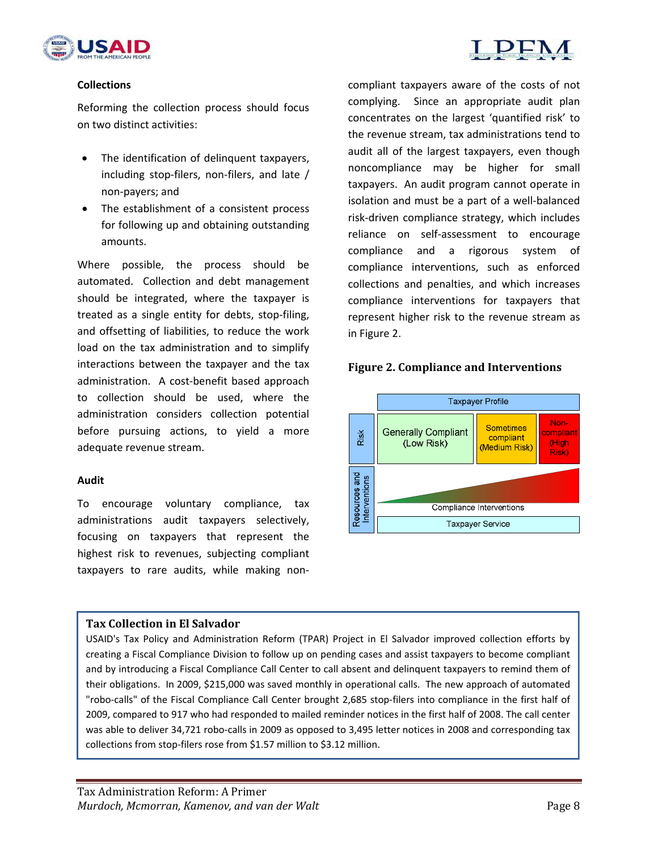



#### **Collections**

Reforming the collection process should focus on two distinct activities:

- The identification of delinquent taxpayers, including stop‐filers, non‐filers, and late / non‐payers; and
- The establishment of a consistent process for following up and obtaining outstanding amounts.

Where possible, the process should be automated. Collection and debt management should be integrated, where the taxpayer is treated as a single entity for debts, stop-filing, and offsetting of liabilities, to reduce the work load on the tax administration and to simplify interactions between the taxpayer and the tax administration. A cost‐benefit based approach to collection should be used, where the administration considers collection potential before pursuing actions, to yield a more adequate revenue stream.

#### **Audit**

To encourage voluntary compliance, tax administrations audit taxpayers selectively, focusing on taxpayers that represent the highest risk to revenues, subjecting compliant taxpayers to rare audits, while making non‐ compliant taxpayers aware of the costs of not complying. Since an appropriate audit plan concentrates on the largest 'quantified risk' to the revenue stream, tax administrations tend to audit all of the largest taxpayers, even though noncompliance may be higher for small taxpayers. An audit program cannot operate in isolation and must be a part of a well‐balanced risk‐driven compliance strategy, which includes reliance on self‐assessment to encourage compliance and a rigorous system of compliance interventions, such as enforced collections and penalties, and which increases compliance interventions for taxpayers that represent higher risk to the revenue stream as in Figure 2.

#### **Figure 2. Compliance and Interventions**



#### **Tax Collection in El Salvador**

USAID's Tax Policy and Administration Reform (TPAR) Project in El Salvador improved collection efforts by creating a Fiscal Compliance Division to follow up on pending cases and assist taxpayers to become compliant and by introducing a Fiscal Compliance Call Center to call absent and delinquent taxpayers to remind them of their obligations. In 2009, \$215,000 was saved monthly in operational calls. The new approach of automated "robo-calls" of the Fiscal Compliance Call Center brought 2,685 stop-filers into compliance in the first half of 2009, compared to 917 who had responded to mailed reminder notices in the first half of 2008. The call center was able to deliver 34,721 robo-calls in 2009 as opposed to 3,495 letter notices in 2008 and corresponding tax collections from stop-filers rose from \$1.57 million to \$3.12 million.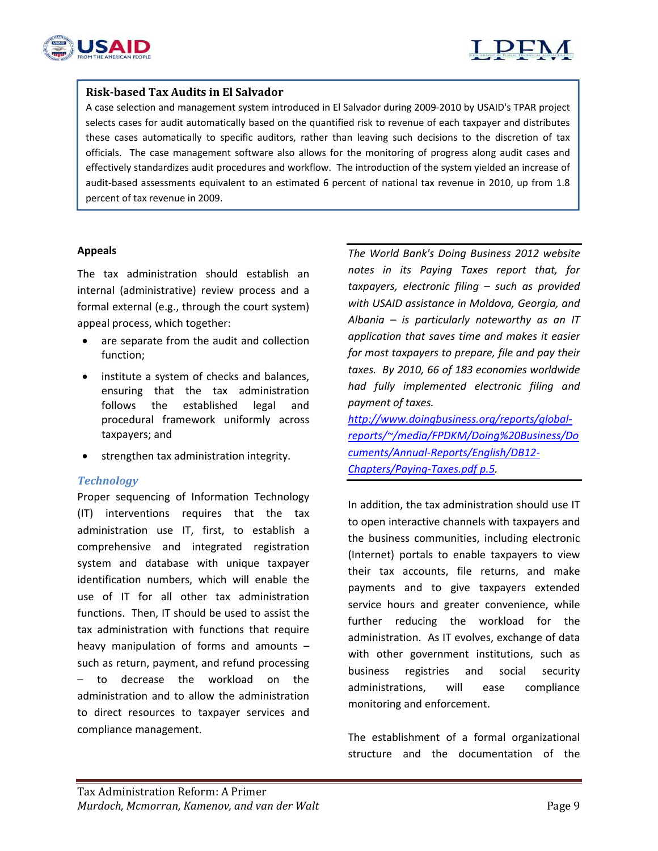



#### **Risk‐based Tax Audits in El Salvador**

A case selection and management system introduced in El Salvador during 2009‐2010 by USAID's TPAR project selects cases for audit automatically based on the quantified risk to revenue of each taxpayer and distributes these cases automatically to specific auditors, rather than leaving such decisions to the discretion of tax officials. The case management software also allows for the monitoring of progress along audit cases and effectively standardizes audit procedures and workflow. The introduction of the system yielded an increase of audit-based assessments equivalent to an estimated 6 percent of national tax revenue in 2010, up from 1.8 percent of tax revenue in 2009.

#### **Appeals**

The tax administration should establish an internal (administrative) review process and a formal external (e.g., through the court system) appeal process, which together:

- are separate from the audit and collection function;
- institute a system of checks and balances, ensuring that the tax administration follows the established legal and procedural framework uniformly across taxpayers; and
- strengthen tax administration integrity.

#### *Technology*

Proper sequencing of Information Technology (IT) interventions requires that the tax administration use IT, first, to establish a comprehensive and integrated registration system and database with unique taxpayer identification numbers, which will enable the use of IT for all other tax administration functions. Then, IT should be used to assist the tax administration with functions that require heavy manipulation of forms and amounts – such as return, payment, and refund processing – to decrease the workload on the administration and to allow the administration to direct resources to taxpayer services and compliance management.

*The World Bank's Doing Business 2012 website notes in its Paying Taxes report that, for taxpayers, electronic filing – such as provided with USAID assistance in Moldova, Georgia, and Albania – is particularly noteworthy as an IT application that saves time and makes it easier for most taxpayers to prepare, file and pay their taxes. By 2010, 66 of 183 economies worldwide had fully implemented electronic filing and payment of taxes.* 

*http://www.doingbusiness.org/reports/global‐ reports/~/media/FPDKM/Doing%20Business/Do cuments/Annual‐Reports/English/DB12‐ Chapters/Paying‐Taxes.pdf p.5.*

In addition, the tax administration should use IT to open interactive channels with taxpayers and the business communities, including electronic (Internet) portals to enable taxpayers to view their tax accounts, file returns, and make payments and to give taxpayers extended service hours and greater convenience, while further reducing the workload for the administration. As IT evolves, exchange of data with other government institutions, such as business registries and social security administrations, will ease compliance monitoring and enforcement.

The establishment of a formal organizational structure and the documentation of the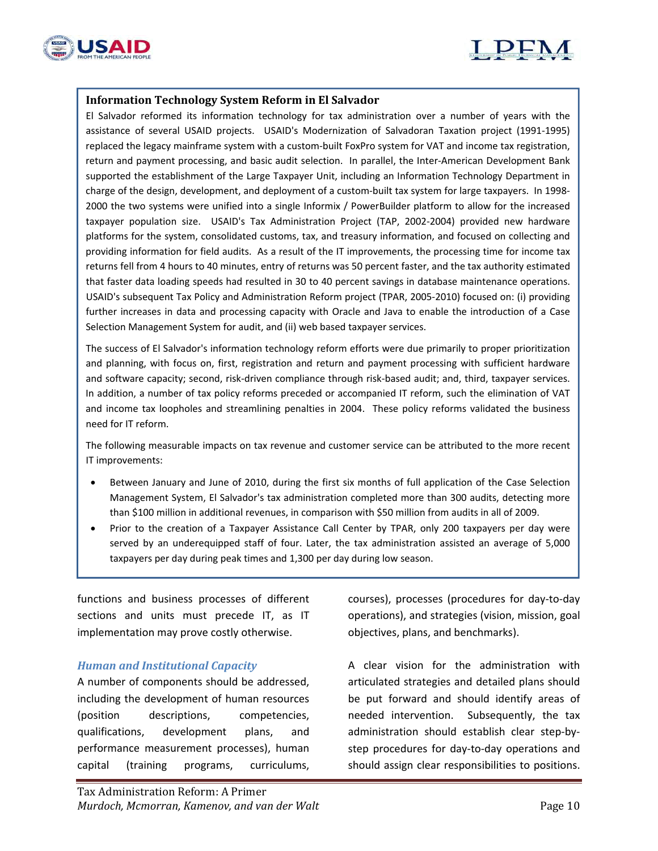

L



#### **Information Technology System Reform in El Salvador**

El Salvador reformed its information technology for tax administration over a number of years with the assistance of several USAID projects. USAID's Modernization of Salvadoran Taxation project (1991‐1995) replaced the legacy mainframe system with a custom-built FoxPro system for VAT and income tax registration, return and payment processing, and basic audit selection. In parallel, the Inter‐American Development Bank supported the establishment of the Large Taxpayer Unit, including an Information Technology Department in charge of the design, development, and deployment of a custom-built tax system for large taxpayers. In 1998-2000 the two systems were unified into a single Informix / PowerBuilder platform to allow for the increased taxpayer population size. USAID's Tax Administration Project (TAP, 2002‐2004) provided new hardware platforms for the system, consolidated customs, tax, and treasury information, and focused on collecting and providing information for field audits. As a result of the IT improvements, the processing time for income tax returns fell from 4 hours to 40 minutes, entry of returns was 50 percent faster, and the tax authority estimated that faster data loading speeds had resulted in 30 to 40 percent savings in database maintenance operations. USAID's subsequent Tax Policy and Administration Reform project (TPAR, 2005‐2010) focused on: (i) providing further increases in data and processing capacity with Oracle and Java to enable the introduction of a Case Selection Management System for audit, and (ii) web based taxpayer services.

The success of El Salvador's information technology reform efforts were due primarily to proper prioritization and planning, with focus on, first, registration and return and payment processing with sufficient hardware and software capacity; second, risk‐driven compliance through risk‐based audit; and, third, taxpayer services. In addition, a number of tax policy reforms preceded or accompanied IT reform, such the elimination of VAT and income tax loopholes and streamlining penalties in 2004. These policy reforms validated the business need for IT reform.

The following measurable impacts on tax revenue and customer service can be attributed to the more recent IT improvements:

- Between January and June of 2010, during the first six months of full application of the Case Selection Management System, El Salvador's tax administration completed more than 300 audits, detecting more than \$100 million in additional revenues, in comparison with \$50 million from audits in all of 2009.
- Prior to the creation of a Taxpayer Assistance Call Center by TPAR, only 200 taxpayers per day were served by an underequipped staff of four. Later, the tax administration assisted an average of 5,000 taxpayers per day during peak times and 1,300 per day during low season.

functions and business processes of different sections and units must precede IT, as IT implementation may prove costly otherwise.

#### *Human and Institutional Capacity*

A number of components should be addressed, including the development of human resources (position descriptions, competencies, qualifications, development plans, and performance measurement processes), human capital (training programs, curriculums,

courses), processes (procedures for day‐to‐day operations), and strategies (vision, mission, goal objectives, plans, and benchmarks).

A clear vision for the administration with articulated strategies and detailed plans should be put forward and should identify areas of needed intervention. Subsequently, the tax administration should establish clear step‐by‐ step procedures for day‐to‐day operations and should assign clear responsibilities to positions.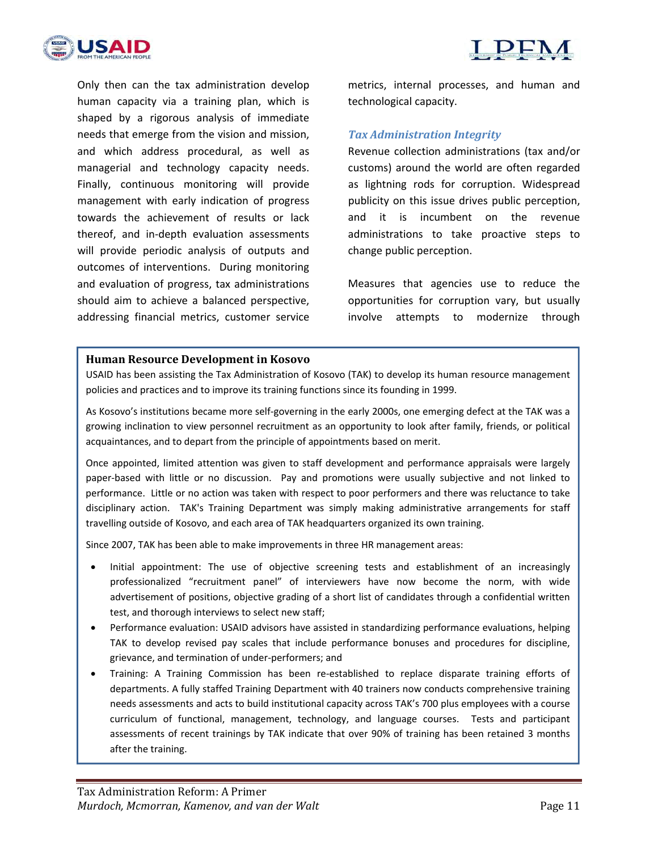



Only then can the tax administration develop human capacity via a training plan, which is shaped by a rigorous analysis of immediate needs that emerge from the vision and mission, and which address procedural, as well as managerial and technology capacity needs. Finally, continuous monitoring will provide management with early indication of progress towards the achievement of results or lack thereof, and in‐depth evaluation assessments will provide periodic analysis of outputs and outcomes of interventions. During monitoring and evaluation of progress, tax administrations should aim to achieve a balanced perspective, addressing financial metrics, customer service

metrics, internal processes, and human and technological capacity.

#### *Tax Administration Integrity*

Revenue collection administrations (tax and/or customs) around the world are often regarded as lightning rods for corruption. Widespread publicity on this issue drives public perception, and it is incumbent on the revenue administrations to take proactive steps to change public perception.

Measures that agencies use to reduce the opportunities for corruption vary, but usually involve attempts to modernize through

#### **Human Resource Development in Kosovo**

USAID has been assisting the Tax Administration of Kosovo (TAK) to develop its human resource management policies and practices and to improve its training functions since its founding in 1999.

As Kosovo's institutions became more self‐governing in the early 2000s, one emerging defect at the TAK was a growing inclination to view personnel recruitment as an opportunity to look after family, friends, or political acquaintances, and to depart from the principle of appointments based on merit.

Once appointed, limited attention was given to staff development and performance appraisals were largely paper-based with little or no discussion. Pay and promotions were usually subjective and not linked to performance. Little or no action was taken with respect to poor performers and there was reluctance to take disciplinary action. TAK's Training Department was simply making administrative arrangements for staff travelling outside of Kosovo, and each area of TAK headquarters organized its own training.

Since 2007, TAK has been able to make improvements in three HR management areas:

- Initial appointment: The use of objective screening tests and establishment of an increasingly professionalized "recruitment panel" of interviewers have now become the norm, with wide advertisement of positions, objective grading of a short list of candidates through a confidential written test, and thorough interviews to select new staff;
- Performance evaluation: USAID advisors have assisted in standardizing performance evaluations, helping TAK to develop revised pay scales that include performance bonuses and procedures for discipline, grievance, and termination of under‐performers; and
- Training: A Training Commission has been re‐established to replace disparate training efforts of departments. A fully staffed Training Department with 40 trainers now conducts comprehensive training needs assessments and acts to build institutional capacity across TAK's 700 plus employees with a course curriculum of functional, management, technology, and language courses. Tests and participant assessments of recent trainings by TAK indicate that over 90% of training has been retained 3 months after the training.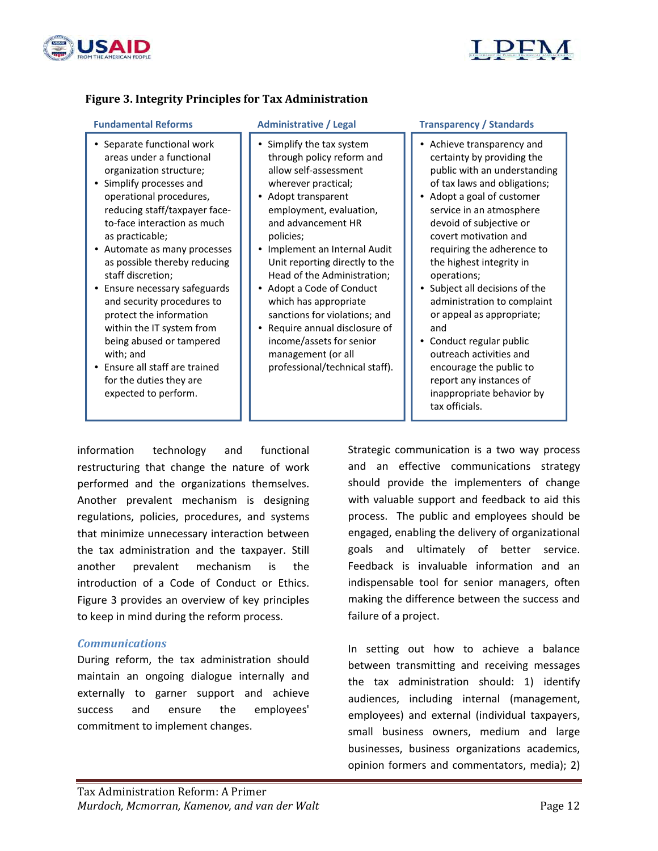



#### **Figure 3. Integrity Principles for Tax Administration**

- Separate functional work areas under a functional organization structure;
- Simplify processes and operational procedures, reducing staff/taxpayer face‐ to‐face interaction as much as practicable;
- Automate as many processes as possible thereby reducing staff discretion;
- Ensure necessary safeguards and security procedures to protect the information within the IT system from being abused or tampered with; and
- Ensure all staff are trained for the duties they are expected to perform.

- Simplify the tax system through policy reform and allow self‐assessment wherever practical;
- Adopt transparent employment, evaluation, and advancement HR policies;
- Implement an Internal Audit Unit reporting directly to the Head of the Administration;
- Adopt a Code of Conduct which has appropriate sanctions for violations; and
- Require annual disclosure of income/assets for senior management (or all professional/technical staff).

#### **Fundamental Reforms Administrative / Legal Transparency / Standards**

- Achieve transparency and certainty by providing the public with an understanding of tax laws and obligations;
- Adopt a goal of customer service in an atmosphere devoid of subjective or covert motivation and requiring the adherence to the highest integrity in operations;
- Subject all decisions of the administration to complaint or appeal as appropriate; and
- Conduct regular public outreach activities and encourage the public to report any instances of inappropriate behavior by tax officials.

information technology and functional restructuring that change the nature of work performed and the organizations themselves. Another prevalent mechanism is designing regulations, policies, procedures, and systems that minimize unnecessary interaction between the tax administration and the taxpayer. Still another prevalent mechanism is the introduction of a Code of Conduct or Ethics. Figure 3 provides an overview of key principles to keep in mind during the reform process.

#### *Communications*

During reform, the tax administration should maintain an ongoing dialogue internally and externally to garner support and achieve success and ensure the employees' commitment to implement changes.

Strategic communication is a two way process and an effective communications strategy should provide the implementers of change with valuable support and feedback to aid this process. The public and employees should be engaged, enabling the delivery of organizational goals and ultimately of better service. Feedback is invaluable information and an indispensable tool for senior managers, often making the difference between the success and failure of a project.

In setting out how to achieve a balance between transmitting and receiving messages the tax administration should: 1) identify audiences, including internal (management, employees) and external (individual taxpayers, small business owners, medium and large businesses, business organizations academics, opinion formers and commentators, media); 2)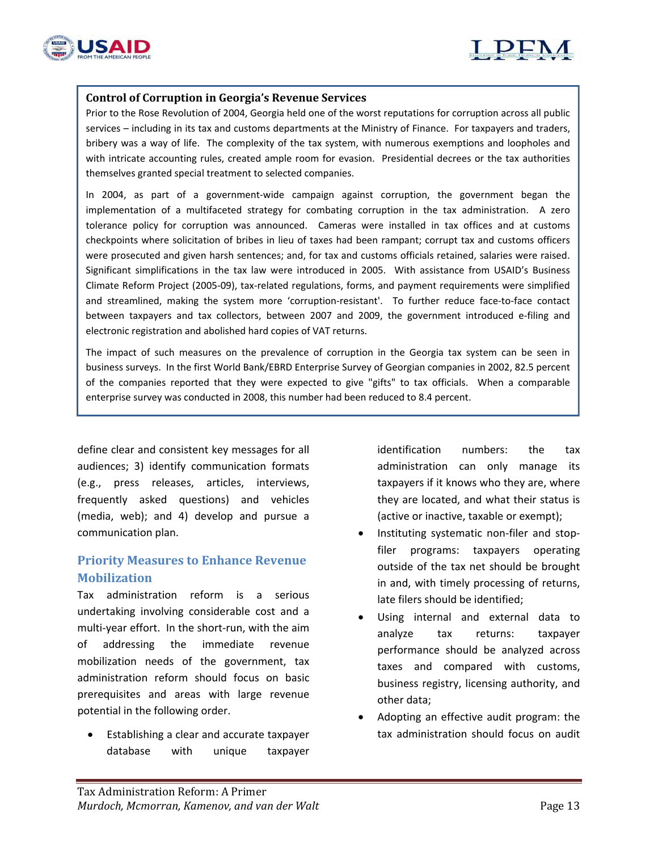



#### **Control of Corruption in Georgia's Revenue Services**

Prior to the Rose Revolution of 2004, Georgia held one of the worst reputations for corruption across all public services – including in its tax and customs departments at the Ministry of Finance. For taxpayers and traders, bribery was a way of life. The complexity of the tax system, with numerous exemptions and loopholes and with intricate accounting rules, created ample room for evasion. Presidential decrees or the tax authorities themselves granted special treatment to selected companies.

In 2004, as part of a government-wide campaign against corruption, the government began the implementation of a multifaceted strategy for combating corruption in the tax administration. A zero tolerance policy for corruption was announced. Cameras were installed in tax offices and at customs checkpoints where solicitation of bribes in lieu of taxes had been rampant; corrupt tax and customs officers were prosecuted and given harsh sentences; and, for tax and customs officials retained, salaries were raised. Significant simplifications in the tax law were introduced in 2005. With assistance from USAID's Business Climate Reform Project (2005‐09), tax‐related regulations, forms, and payment requirements were simplified and streamlined, making the system more 'corruption-resistant'. To further reduce face-to-face contact between taxpayers and tax collectors, between 2007 and 2009, the government introduced e‐filing and electronic registration and abolished hard copies of VAT returns.

The impact of such measures on the prevalence of corruption in the Georgia tax system can be seen in business surveys. In the first World Bank/EBRD Enterprise Survey of Georgian companies in 2002, 82.5 percent of the companies reported that they were expected to give "gifts" to tax officials. When a comparable enterprise survey was conducted in 2008, this number had been reduced to 8.4 percent.

define clear and consistent key messages for all audiences; 3) identify communication formats (e.g., press releases, articles, interviews, frequently asked questions) and vehicles (media, web); and 4) develop and pursue a communication plan.

### **Priority Measures to Enhance Revenue Mobilization**

Tax administration reform is a serious undertaking involving considerable cost and a multi-year effort. In the short-run, with the aim of addressing the immediate revenue mobilization needs of the government, tax administration reform should focus on basic prerequisites and areas with large revenue potential in the following order.

 Establishing a clear and accurate taxpayer database with unique taxpayer identification numbers: the tax administration can only manage its taxpayers if it knows who they are, where they are located, and what their status is (active or inactive, taxable or exempt);

- Instituting systematic non‐filer and stop‐ filer programs: taxpayers operating outside of the tax net should be brought in and, with timely processing of returns, late filers should be identified;
- Using internal and external data to analyze tax returns: taxpayer performance should be analyzed across taxes and compared with customs, business registry, licensing authority, and other data;
- Adopting an effective audit program: the tax administration should focus on audit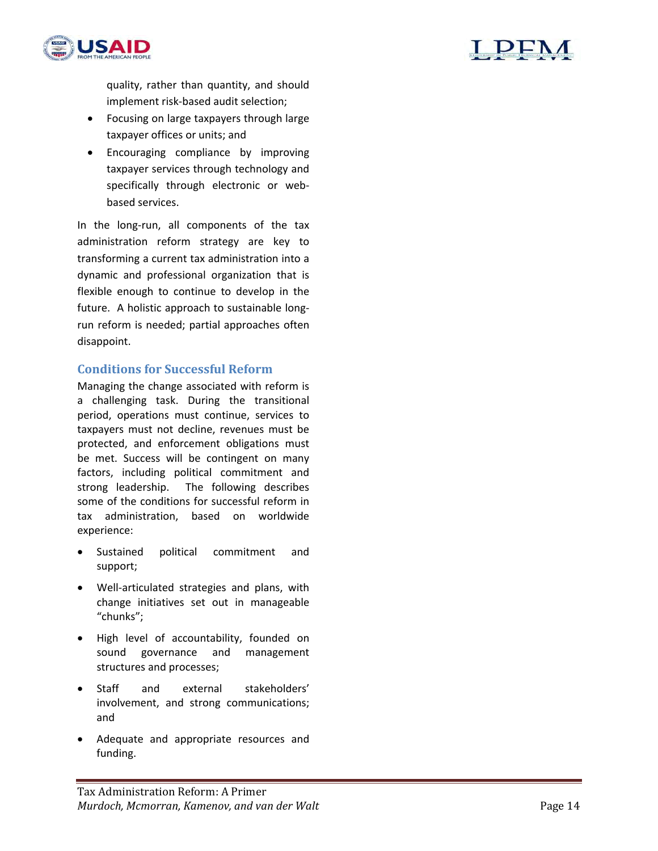

quality, rather than quantity, and should implement risk‐based audit selection;

- Focusing on large taxpayers through large taxpayer offices or units; and
- Encouraging compliance by improving taxpayer services through technology and specifically through electronic or webbased services.

In the long‐run, all components of the tax administration reform strategy are key to transforming a current tax administration into a dynamic and professional organization that is flexible enough to continue to develop in the future. A holistic approach to sustainable longrun reform is needed; partial approaches often disappoint.

#### **Conditions for Successful Reform**

Managing the change associated with reform is a challenging task. During the transitional period, operations must continue, services to taxpayers must not decline, revenues must be protected, and enforcement obligations must be met. Success will be contingent on many factors, including political commitment and strong leadership. The following describes some of the conditions for successful reform in tax administration, based on worldwide experience:

- Sustained political commitment and support;
- Well‐articulated strategies and plans, with change initiatives set out in manageable "chunks";
- High level of accountability, founded on sound governance and management structures and processes;
- Staff and external stakeholders' involvement, and strong communications; and
- Adequate and appropriate resources and funding.